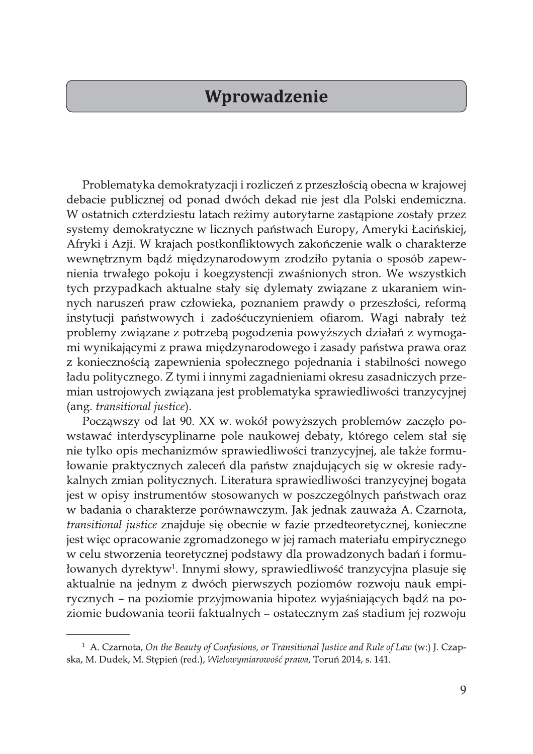## Wprowadzenie

Problematyka demokratyzacji i rozliczeń z przeszłością obecna w krajowej debacie publicznej od ponad dwóch dekad nie jest dla Polski endemiczna. W ostatnich czterdziestu latach reżimy autorytarne zastąpione zostały przez systemy demokratyczne w licznych państwach Europy, Ameryki Łacińskiej, Afryki i Azji. W krajach postkonfliktowych zakończenie walk o charakterze wewnętrznym bądź międzynarodowym zrodziło pytania o sposób zapewnienia trwałego pokoju i koegzystencji zwaśnionych stron. We wszystkich tych przypadkach aktualne stały się dylematy związane z ukaraniem winnych naruszeń praw człowieka, poznaniem prawdy o przeszłości, reformą instytucji państwowych i zadośćuczynieniem ofiarom. Wagi nabrały też problemy związane z potrzebą pogodzenia powyższych działań z wymogami wynikającymi z prawa międzynarodowego i zasady państwa prawa oraz z koniecznością zapewnienia społecznego pojednania i stabilności nowego ładu politycznego. Z tymi i innymi zagadnieniami okresu zasadniczych przemian ustrojowych związana jest problematyka sprawiedliwości tranzycyjnej (ang. transitional justice).

Począwszy od lat 90. XX w. wokół powyższych problemów zaczęło powstawać interdyscyplinarne pole naukowej debaty, którego celem stał się nie tylko opis mechanizmów sprawiedliwości tranzycyjnej, ale także formułowanie praktycznych zaleceń dla państw znajdujących się w okresie radykalnych zmian politycznych. Literatura sprawiedliwości tranzycyjnej bogata jest w opisy instrumentów stosowanych w poszczególnych państwach oraz w badania o charakterze porównawczym. Jak jednak zauważa A. Czarnota, transitional justice znajduje się obecnie w fazie przedteoretycznej, konieczne jest więc opracowanie zgromadzonego w jej ramach materiału empirycznego w celu stworzenia teoretycznej podstawy dla prowadzonych badań i formułowanych dyrektyw<sup>1</sup>. Innymi słowy, sprawiedliwość tranzycyjna plasuje się aktualnie na jednym z dwóch pierwszych poziomów rozwoju nauk empirycznych – na poziomie przyjmowania hipotez wyjaśniających bądź na poziomie budowania teorii faktualnych – ostatecznym zaś stadium jej rozwoju

<sup>&</sup>lt;sup>1</sup> A. Czarnota, On the Beauty of Confusions, or Transitional Justice and Rule of Law (w:) J. Czapska, M. Dudek, M. Stępień (red.), Wielowymiarowość prawa, Toruń 2014, s. 141.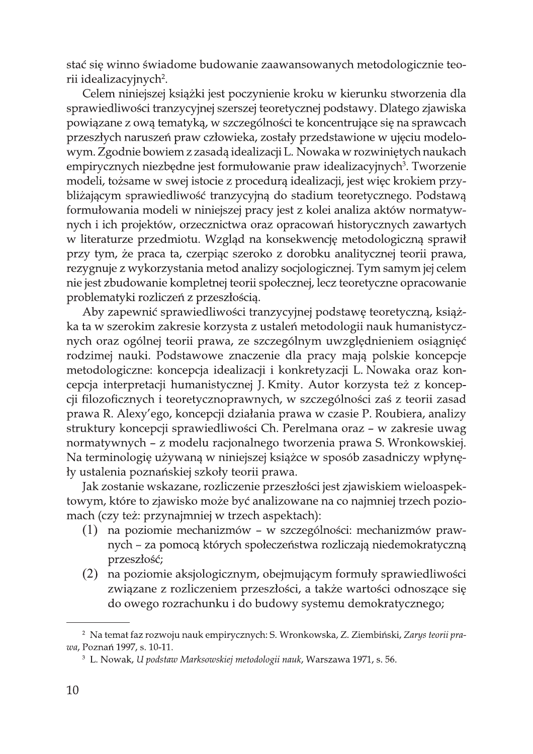stać się winno świadome budowanie zaawansowanych metodologicznie teorii idealizacyjnych<sup>2</sup>.

Celem niniejszej książki jest poczynienie kroku w kierunku stworzenia dla sprawiedliwości tranzycyjnej szerszej teoretycznej podstawy. Dlatego zjawiska powiązane z ową tematyką, w szczególności te koncentrujące się na sprawcach przeszłych naruszeń praw człowieka, zostały przedstawione w ujęciu modelowym. Zgodnie bowiem z zasadą idealizacji L. Nowaka w rozwiniętych naukach empirycznych niezbędne jest formułowanie praw idealizacyjnych<sup>3</sup>. Tworzenie modeli, tożsame w swej istocie z procedurą idealizacji, jest więc krokiem przybliżającym sprawiedliwość tranzycyjną do stadium teoretycznego. Podstawą formułowania modeli w niniejszej pracy jest z kolei analiza aktów normatywnych i ich projektów, orzecznictwa oraz opracowań historycznych zawartych w literaturze przedmiotu. Wzgląd na konsekwencję metodologiczną sprawił przy tym, że praca ta, czerpiąc szeroko z dorobku analitycznej teorii prawa, rezygnuje z wykorzystania metod analizy socjologicznej. Tym samym jej celem nie jest zbudowanie kompletnej teorii społecznej, lecz teoretyczne opracowanie problematyki rozliczeń z przeszłością.

Aby zapewnić sprawiedliwości tranzycyjnej podstawę teoretyczną, książka ta w szerokim zakresie korzysta z ustaleń metodologii nauk humanistycznych oraz ogólnej teorii prawa, ze szczególnym uwzględnieniem osiągnięć rodzimej nauki. Podstawowe znaczenie dla pracy mają polskie koncepcje metodologiczne: koncepcja idealizacji i konkretyzacji L. Nowaka oraz koncepcja interpretacji humanistycznej J. Kmity. Autor korzysta też z koncepcji filozoficznych i teoretycznoprawnych, w szczególności zaś z teorii zasad prawa R. Alexy'ego, koncepcji działania prawa w czasie P. Roubiera, analizy struktury koncepcji sprawiedliwości Ch. Perelmana oraz – w zakresie uwag normatywnych – z modelu racjonalnego tworzenia prawa S. Wronkowskiej. Na terminologię używaną w niniejszej książce w sposób zasadniczy wpłynęły ustalenia poznańskiej szkoły teorii prawa.

Jak zostanie wskazane, rozliczenie przeszłości jest zjawiskiem wieloaspektowym, które to zjawisko może być analizowane na co najmniej trzech poziomach (czy też: przynajmniej w trzech aspektach):

- (1) na poziomie mechanizmów w szczególności: mechanizmów prawnych - za pomocą których społeczeństwa rozliczają niedemokratyczną przeszłość;
- (2) na poziomie aksjologicznym, obejmującym formuły sprawiedliwości związane z rozliczeniem przeszłości, a także wartości odnoszące się do owego rozrachunku i do budowy systemu demokratycznego;

<sup>&</sup>lt;sup>2</sup> Na temat faz rozwoju nauk empirycznych: S. Wronkowska, Z. Ziembiński, Zarys teorii prawa, Poznań 1997, s. 10-11.

<sup>&</sup>lt;sup>3</sup> L. Nowak, U podstaw Marksowskiej metodologii nauk, Warszawa 1971, s. 56.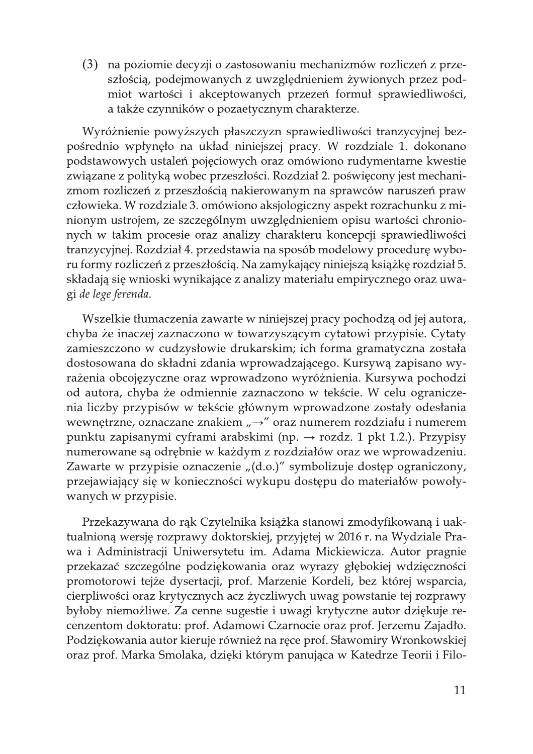(3) na poziomie decyzji o zastosowaniu mechanizmów rozliczeń z przeszłością, podejmowanych z uwzględnieniem żywionych przez podmiot wartości i akceptowanych przezeń formuł sprawiedliwości, a także czynników o pozaetycznym charakterze.

Wyróżnienie powyższych płaszczyzn sprawiedliwości tranzycyjnej bezpośrednio wpłynęło na układ niniejszej pracy. W rozdziale 1. dokonano podstawowych ustaleń pojęciowych oraz omówiono rudymentarne kwestie związane z polityką wobec przeszłości. Rozdział 2. poświęcony jest mechanizmom rozliczeń z przeszłością nakierowanym na sprawców naruszeń praw człowieka. W rozdziale 3. omówiono aksjologiczny aspekt rozrachunku z minionym ustrojem, ze szczególnym uwzględnieniem opisu wartości chronionych w takim procesie oraz analizy charakteru koncepcji sprawiedliwości tranzycyjnej. Rozdział 4. przedstawia na sposób modelowy procedurę wyboru formy rozliczeń z przeszłością. Na zamykający niniejszą książkę rozdział 5. składają się wnioski wynikające z analizy materiału empirycznego oraz uwagi de lege ferenda.

Wszelkie tłumaczenia zawarte w niniejszej pracy pochodzą od jej autora, chyba że inaczej zaznaczono w towarzyszącym cytatowi przypisie. Cytaty zamieszczono w cudzysłowie drukarskim; ich forma gramatyczna została dostosowana do składni zdania wprowadzającego. Kursywą zapisano wyrażenia obcojęzyczne oraz wprowadzono wyróżnienia. Kursywa pochodzi od autora, chyba że odmiennie zaznaczono w tekście. W celu ograniczenia liczby przypisów w tekście głównym wprowadzone zostały odesłania wewnętrzne, oznaczane znakiem "→" oraz numerem rozdziału i numerem punktu zapisanymi cyframi arabskimi (np.  $\rightarrow$  rozdz. 1 pkt 1.2.). Przypisy numerowane są odrębnie w każdym z rozdziałów oraz we wprowadzeniu. Zawarte w przypisie oznaczenie "(d.o.)" symbolizuje dostęp ograniczony, przejawiający się w konieczności wykupu dostępu do materiałów powoływanych w przypisie.

Przekazywana do rąk Czytelnika książka stanowi zmodyfikowaną i uaktualnioną wersję rozprawy doktorskiej, przyjętej w 2016 r. na Wydziale Prawa i Administracji Uniwersytetu im. Adama Mickiewicza. Autor pragnie przekazać szczególne podziękowania oraz wyrazy głębokiej wdzięczności promotorowi tejże dysertacji, prof. Marzenie Kordeli, bez której wsparcia, cierpliwości oraz krytycznych acz życzliwych uwag powstanie tej rozprawy byłoby niemożliwe. Za cenne sugestie i uwagi krytyczne autor dziękuje recenzentom doktoratu: prof. Adamowi Czarnocie oraz prof. Jerzemu Zajadło. Podziękowania autor kieruje również na ręce prof. Sławomiry Wronkowskiej oraz prof. Marka Smolaka, dzięki którym panująca w Katedrze Teorii i Filo